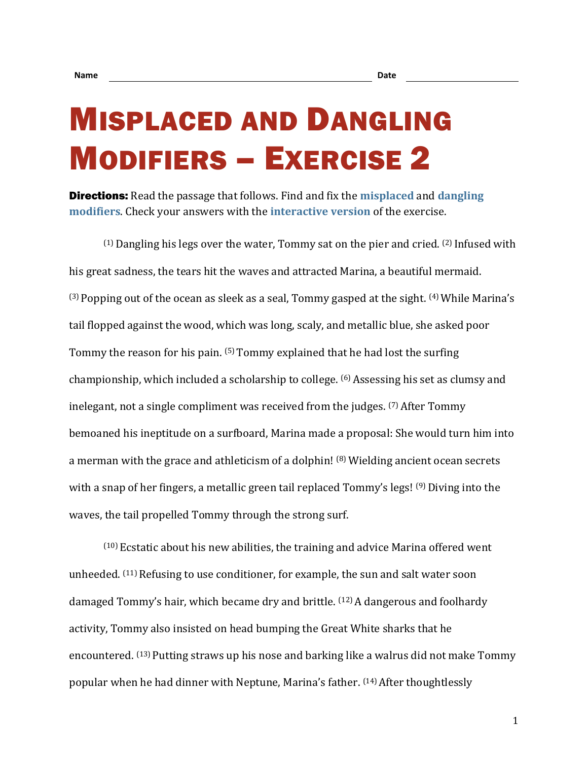## MISPLACED AND DANGLING MODIFIERS – EXERCISE 2

Directions: Read the passage that follows. Find and fix the **[misplaced](https://chompchomp.com/terms/misplacedmodifier.htm)** and **[dangling](https://chompchomp.com/terms/danglingmodifier.htm)  [modifiers](https://chompchomp.com/terms/danglingmodifier.htm)**. Check your answers with the **[interactive version](https://chompchomp.com/modifiers02/)** of the exercise.

 $(1)$  Dangling his legs over the water, Tommy sat on the pier and cried.  $(2)$  Infused with his great sadness, the tears hit the waves and attracted Marina, a beautiful mermaid.  $(3)$  Popping out of the ocean as sleek as a seal, Tommy gasped at the sight.  $(4)$  While Marina's tail flopped against the wood, which was long, scaly, and metallic blue, she asked poor Tommy the reason for his pain. (5) Tommy explained that he had lost the surfing championship, which included a scholarship to college. (6) Assessing his set as clumsy and inelegant, not a single compliment was received from the judges. <sup>(7)</sup> After Tommy bemoaned his ineptitude on a surfboard, Marina made a proposal: She would turn him into a merman with the grace and athleticism of a dolphin! (8) Wielding ancient ocean secrets with a snap of her fingers, a metallic green tail replaced Tommy's legs! (9) Diving into the waves, the tail propelled Tommy through the strong surf.

 $(10)$  Ecstatic about his new abilities, the training and advice Marina offered went unheeded. (11) Refusing to use conditioner, for example, the sun and salt water soon damaged Tommy's hair, which became dry and brittle. (12) A dangerous and foolhardy activity, Tommy also insisted on head bumping the Great White sharks that he encountered. (13) Putting straws up his nose and barking like a walrus did not make Tommy popular when he had dinner with Neptune, Marina's father. (14) After thoughtlessly